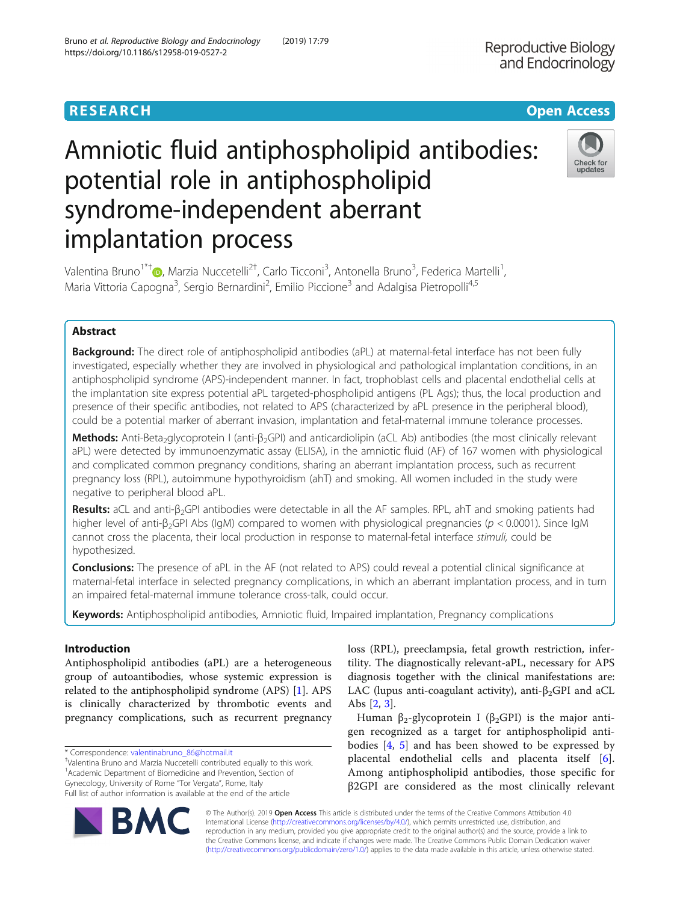# **RESEARCH CHINESE ARCH CHINESE ARCHITECT AND ACCESS**

# Amniotic fluid antiphospholipid antibodies: potential role in antiphospholipid syndrome-independent aberrant implantation process



Valentina Bruno<sup>1\*[†](http://orcid.org/0000-0002-0008-9573)</sup>®, Marzia Nuccetelli<sup>2†</sup>, Carlo Ticconi<sup>3</sup>, Antonella Bruno<sup>3</sup>, Federica Martelli<sup>1</sup> , Maria Vittoria Capogna<sup>3</sup>, Sergio Bernardini<sup>2</sup>, Emilio Piccione<sup>3</sup> and Adalgisa Pietropolli<sup>4,5</sup>

# Abstract

**Background:** The direct role of antiphospholipid antibodies (aPL) at maternal-fetal interface has not been fully investigated, especially whether they are involved in physiological and pathological implantation conditions, in an antiphospholipid syndrome (APS)-independent manner. In fact, trophoblast cells and placental endothelial cells at the implantation site express potential aPL targeted-phospholipid antigens (PL Ags); thus, the local production and presence of their specific antibodies, not related to APS (characterized by aPL presence in the peripheral blood), could be a potential marker of aberrant invasion, implantation and fetal-maternal immune tolerance processes.

Methods: Anti-Beta<sub>2</sub>glycoprotein I (anti-β<sub>2</sub>GPI) and anticardiolipin (aCL Ab) antibodies (the most clinically relevant aPL) were detected by immunoenzymatic assay (ELISA), in the amniotic fluid (AF) of 167 women with physiological and complicated common pregnancy conditions, sharing an aberrant implantation process, such as recurrent pregnancy loss (RPL), autoimmune hypothyroidism (ahT) and smoking. All women included in the study were negative to peripheral blood aPL.

Results: aCL and anti-β<sub>2</sub>GPI antibodies were detectable in all the AF samples. RPL, ahT and smoking patients had higher level of anti-β<sub>2</sub>GPI Abs (IgM) compared to women with physiological pregnancies (p < 0.0001). Since IgM cannot cross the placenta, their local production in response to maternal-fetal interface stimuli, could be hypothesized.

**Conclusions:** The presence of aPL in the AF (not related to APS) could reveal a potential clinical significance at maternal-fetal interface in selected pregnancy complications, in which an aberrant implantation process, and in turn an impaired fetal-maternal immune tolerance cross-talk, could occur.

Keywords: Antiphospholipid antibodies, Amniotic fluid, Impaired implantation, Pregnancy complications

# Introduction

Antiphospholipid antibodies (aPL) are a heterogeneous group of autoantibodies, whose systemic expression is related to the antiphospholipid syndrome (APS) [[1\]](#page-6-0). APS is clinically characterized by thrombotic events and pregnancy complications, such as recurrent pregnancy

Valentina Bruno and Marzia Nuccetelli contributed equally to this work. <sup>1</sup> Academic Department of Biomedicine and Prevention, Section of Gynecology, University of Rome "Tor Vergata", Rome, Italy Full list of author information is available at the end of the article

Human β<sub>2</sub>-glycoprotein I (β<sub>2</sub>GPI) is the major antigen recognized as a target for antiphospholipid antibodies [[4,](#page-6-0) [5\]](#page-6-0) and has been showed to be expressed by placental endothelial cells and placenta itself [\[6](#page-6-0)]. Among antiphospholipid antibodies, those specific for β2GPI are considered as the most clinically relevant



© The Author(s). 2019 **Open Access** This article is distributed under the terms of the Creative Commons Attribution 4.0 International License [\(http://creativecommons.org/licenses/by/4.0/](http://creativecommons.org/licenses/by/4.0/)), which permits unrestricted use, distribution, and reproduction in any medium, provided you give appropriate credit to the original author(s) and the source, provide a link to the Creative Commons license, and indicate if changes were made. The Creative Commons Public Domain Dedication waiver [\(http://creativecommons.org/publicdomain/zero/1.0/](http://creativecommons.org/publicdomain/zero/1.0/)) applies to the data made available in this article, unless otherwise stated.

<sup>\*</sup> Correspondence: [valentinabruno\\_86@hotmail.it](mailto:valentinabruno_86@hotmail.it) †

loss (RPL), preeclampsia, fetal growth restriction, infertility. The diagnostically relevant-aPL, necessary for APS diagnosis together with the clinical manifestations are: LAC (lupus anti-coagulant activity), anti- $\beta_2$ GPI and aCL Abs [[2,](#page-6-0) [3\]](#page-6-0).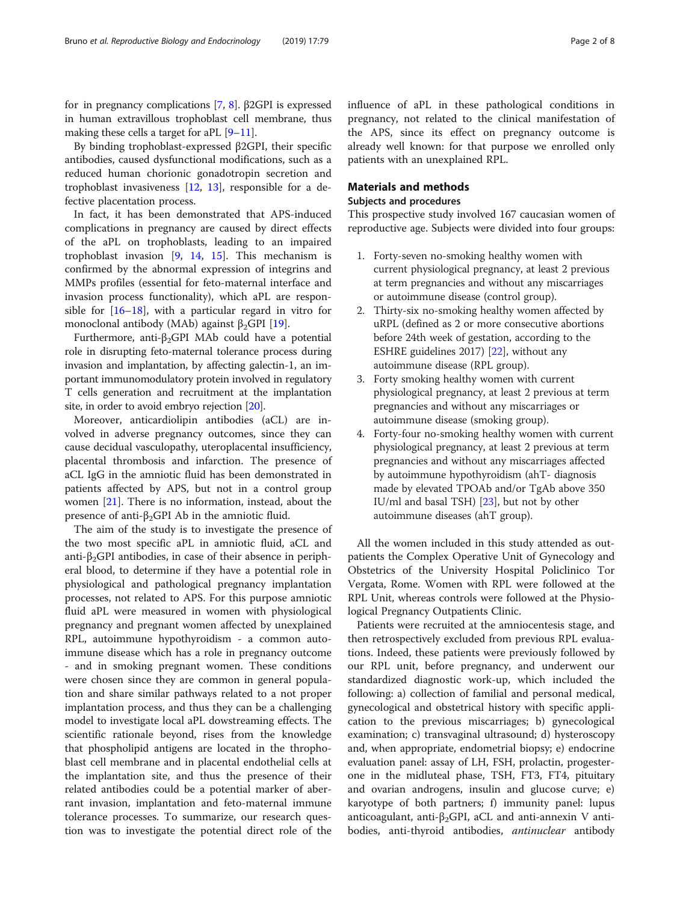for in pregnancy complications [\[7](#page-6-0), [8](#page-6-0)]. β2GPI is expressed in human extravillous trophoblast cell membrane, thus making these cells a target for aPL [[9](#page-6-0)–[11\]](#page-6-0).

By binding trophoblast-expressed β2GPI, their specific antibodies, caused dysfunctional modifications, such as a reduced human chorionic gonadotropin secretion and trophoblast invasiveness [\[12](#page-6-0), [13\]](#page-6-0), responsible for a defective placentation process.

In fact, it has been demonstrated that APS-induced complications in pregnancy are caused by direct effects of the aPL on trophoblasts, leading to an impaired trophoblast invasion [\[9](#page-6-0), [14](#page-6-0), [15\]](#page-6-0). This mechanism is confirmed by the abnormal expression of integrins and MMPs profiles (essential for feto-maternal interface and invasion process functionality), which aPL are responsible for [[16](#page-6-0)–[18](#page-6-0)], with a particular regard in vitro for monoclonal antibody (MAb) against  $\beta_2$ GPI [[19\]](#page-6-0).

Furthermore, anti-β<sub>2</sub>GPI MAb could have a potential role in disrupting feto-maternal tolerance process during invasion and implantation, by affecting galectin-1, an important immunomodulatory protein involved in regulatory T cells generation and recruitment at the implantation site, in order to avoid embryo rejection [[20\]](#page-6-0).

Moreover, anticardiolipin antibodies (aCL) are involved in adverse pregnancy outcomes, since they can cause decidual vasculopathy, uteroplacental insufficiency, placental thrombosis and infarction. The presence of aCL IgG in the amniotic fluid has been demonstrated in patients affected by APS, but not in a control group women [\[21\]](#page-6-0). There is no information, instead, about the presence of anti-β<sub>2</sub>GPI Ab in the amniotic fluid.

The aim of the study is to investigate the presence of the two most specific aPL in amniotic fluid, aCL and anti- $\beta_2$ GPI antibodies, in case of their absence in peripheral blood, to determine if they have a potential role in physiological and pathological pregnancy implantation processes, not related to APS. For this purpose amniotic fluid aPL were measured in women with physiological pregnancy and pregnant women affected by unexplained RPL, autoimmune hypothyroidism - a common autoimmune disease which has a role in pregnancy outcome - and in smoking pregnant women. These conditions were chosen since they are common in general population and share similar pathways related to a not proper implantation process, and thus they can be a challenging model to investigate local aPL dowstreaming effects. The scientific rationale beyond, rises from the knowledge that phospholipid antigens are located in the throphoblast cell membrane and in placental endothelial cells at the implantation site, and thus the presence of their related antibodies could be a potential marker of aberrant invasion, implantation and feto-maternal immune tolerance processes. To summarize, our research question was to investigate the potential direct role of the

influence of aPL in these pathological conditions in pregnancy, not related to the clinical manifestation of the APS, since its effect on pregnancy outcome is already well known: for that purpose we enrolled only patients with an unexplained RPL.

# Materials and methods

# Subjects and procedures

This prospective study involved 167 caucasian women of reproductive age. Subjects were divided into four groups:

- 1. Forty-seven no-smoking healthy women with current physiological pregnancy, at least 2 previous at term pregnancies and without any miscarriages or autoimmune disease (control group).
- 2. Thirty-six no-smoking healthy women affected by uRPL (defined as 2 or more consecutive abortions before 24th week of gestation, according to the ESHRE guidelines 2017) [[22](#page-6-0)], without any autoimmune disease (RPL group).
- 3. Forty smoking healthy women with current physiological pregnancy, at least 2 previous at term pregnancies and without any miscarriages or autoimmune disease (smoking group).
- 4. Forty-four no-smoking healthy women with current physiological pregnancy, at least 2 previous at term pregnancies and without any miscarriages affected by autoimmune hypothyroidism (ahT- diagnosis made by elevated TPOAb and/or TgAb above 350 IU/ml and basal TSH) [\[23\]](#page-6-0), but not by other autoimmune diseases (ahT group).

All the women included in this study attended as outpatients the Complex Operative Unit of Gynecology and Obstetrics of the University Hospital Policlinico Tor Vergata, Rome. Women with RPL were followed at the RPL Unit, whereas controls were followed at the Physiological Pregnancy Outpatients Clinic.

Patients were recruited at the amniocentesis stage, and then retrospectively excluded from previous RPL evaluations. Indeed, these patients were previously followed by our RPL unit, before pregnancy, and underwent our standardized diagnostic work-up, which included the following: a) collection of familial and personal medical, gynecological and obstetrical history with specific application to the previous miscarriages; b) gynecological examination; c) transvaginal ultrasound; d) hysteroscopy and, when appropriate, endometrial biopsy; e) endocrine evaluation panel: assay of LH, FSH, prolactin, progesterone in the midluteal phase, TSH, FT3, FT4, pituitary and ovarian androgens, insulin and glucose curve; e) karyotype of both partners; f) immunity panel: lupus anticoagulant, anti-β<sub>2</sub>GPI, aCL and anti-annexin V antibodies, anti-thyroid antibodies, *antinuclear* antibody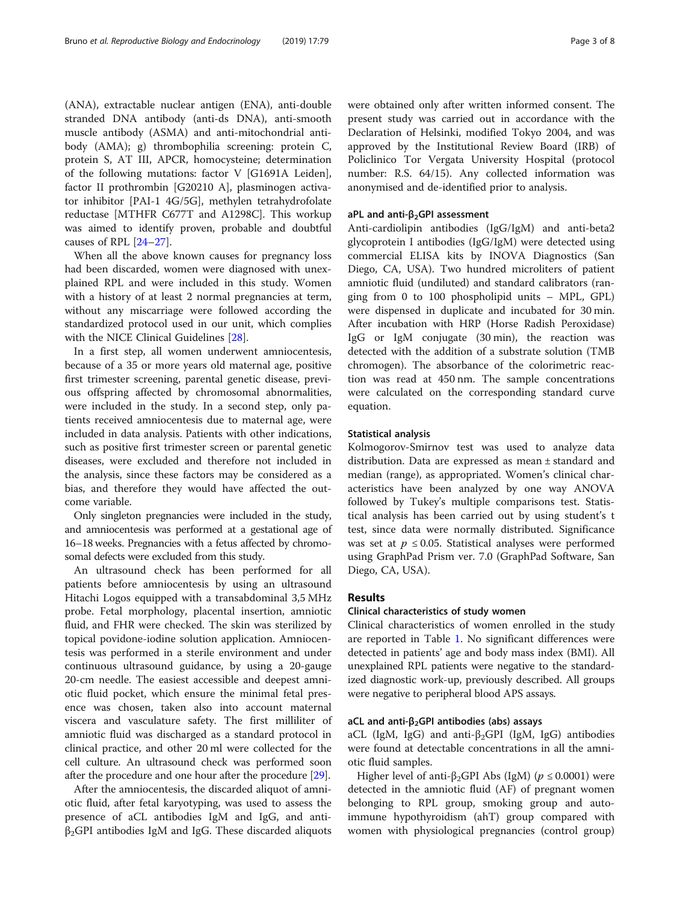(ANA), extractable nuclear antigen (ENA), anti-double stranded DNA antibody (anti-ds DNA), anti-smooth muscle antibody (ASMA) and anti-mitochondrial antibody (AMA); g) thrombophilia screening: protein C, protein S, AT III, APCR, homocysteine; determination of the following mutations: factor V [G1691A Leiden], factor II prothrombin [G20210 A], plasminogen activator inhibitor [PAI-1 4G/5G], methylen tetrahydrofolate reductase [MTHFR C677T and A1298C]. This workup was aimed to identify proven, probable and doubtful causes of RPL [[24](#page-6-0)–[27](#page-6-0)].

When all the above known causes for pregnancy loss had been discarded, women were diagnosed with unexplained RPL and were included in this study. Women with a history of at least 2 normal pregnancies at term, without any miscarriage were followed according the standardized protocol used in our unit, which complies with the NICE Clinical Guidelines [[28\]](#page-6-0).

In a first step, all women underwent amniocentesis, because of a 35 or more years old maternal age, positive first trimester screening, parental genetic disease, previous offspring affected by chromosomal abnormalities, were included in the study. In a second step, only patients received amniocentesis due to maternal age, were included in data analysis. Patients with other indications, such as positive first trimester screen or parental genetic diseases, were excluded and therefore not included in the analysis, since these factors may be considered as a bias, and therefore they would have affected the outcome variable.

Only singleton pregnancies were included in the study, and amniocentesis was performed at a gestational age of 16–18 weeks. Pregnancies with a fetus affected by chromosomal defects were excluded from this study.

An ultrasound check has been performed for all patients before amniocentesis by using an ultrasound Hitachi Logos equipped with a transabdominal 3,5 MHz probe. Fetal morphology, placental insertion, amniotic fluid, and FHR were checked. The skin was sterilized by topical povidone-iodine solution application. Amniocentesis was performed in a sterile environment and under continuous ultrasound guidance, by using a 20-gauge 20-cm needle. The easiest accessible and deepest amniotic fluid pocket, which ensure the minimal fetal presence was chosen, taken also into account maternal viscera and vasculature safety. The first milliliter of amniotic fluid was discharged as a standard protocol in clinical practice, and other 20 ml were collected for the cell culture. An ultrasound check was performed soon after the procedure and one hour after the procedure [[29](#page-6-0)].

After the amniocentesis, the discarded aliquot of amniotic fluid, after fetal karyotyping, was used to assess the presence of aCL antibodies IgM and IgG, and anti- $\beta_2$ GPI antibodies IgM and IgG. These discarded aliquots were obtained only after written informed consent. The present study was carried out in accordance with the Declaration of Helsinki, modified Tokyo 2004, and was approved by the Institutional Review Board (IRB) of Policlinico Tor Vergata University Hospital (protocol number: R.S. 64/15). Any collected information was anonymised and de-identified prior to analysis.

#### aPL and anti-β<sub>2</sub>GPI assessment

Anti-cardiolipin antibodies (IgG/IgM) and anti-beta2 glycoprotein I antibodies (IgG/IgM) were detected using commercial ELISA kits by INOVA Diagnostics (San Diego, CA, USA). Two hundred microliters of patient amniotic fluid (undiluted) and standard calibrators (ranging from 0 to 100 phospholipid units – MPL, GPL) were dispensed in duplicate and incubated for 30 min. After incubation with HRP (Horse Radish Peroxidase) IgG or IgM conjugate (30 min), the reaction was detected with the addition of a substrate solution (TMB chromogen). The absorbance of the colorimetric reaction was read at 450 nm. The sample concentrations were calculated on the corresponding standard curve equation.

### Statistical analysis

Kolmogorov-Smirnov test was used to analyze data distribution. Data are expressed as mean ± standard and median (range), as appropriated. Women's clinical characteristics have been analyzed by one way ANOVA followed by Tukey's multiple comparisons test. Statistical analysis has been carried out by using student's t test, since data were normally distributed. Significance was set at  $p \le 0.05$ . Statistical analyses were performed using GraphPad Prism ver. 7.0 (GraphPad Software, San Diego, CA, USA).

#### Results

#### Clinical characteristics of study women

Clinical characteristics of women enrolled in the study are reported in Table [1](#page-3-0). No significant differences were detected in patients' age and body mass index (BMI). All unexplained RPL patients were negative to the standardized diagnostic work-up, previously described. All groups were negative to peripheral blood APS assays.

### aCL and anti- $β<sub>2</sub>$ GPI antibodies (abs) assays

aCL (IgM, IgG) and anti- $\beta_2$ GPI (IgM, IgG) antibodies were found at detectable concentrations in all the amniotic fluid samples.

Higher level of anti-β<sub>2</sub>GPI Abs (IgM) ( $p \le 0.0001$ ) were detected in the amniotic fluid (AF) of pregnant women belonging to RPL group, smoking group and autoimmune hypothyroidism (ahT) group compared with women with physiological pregnancies (control group)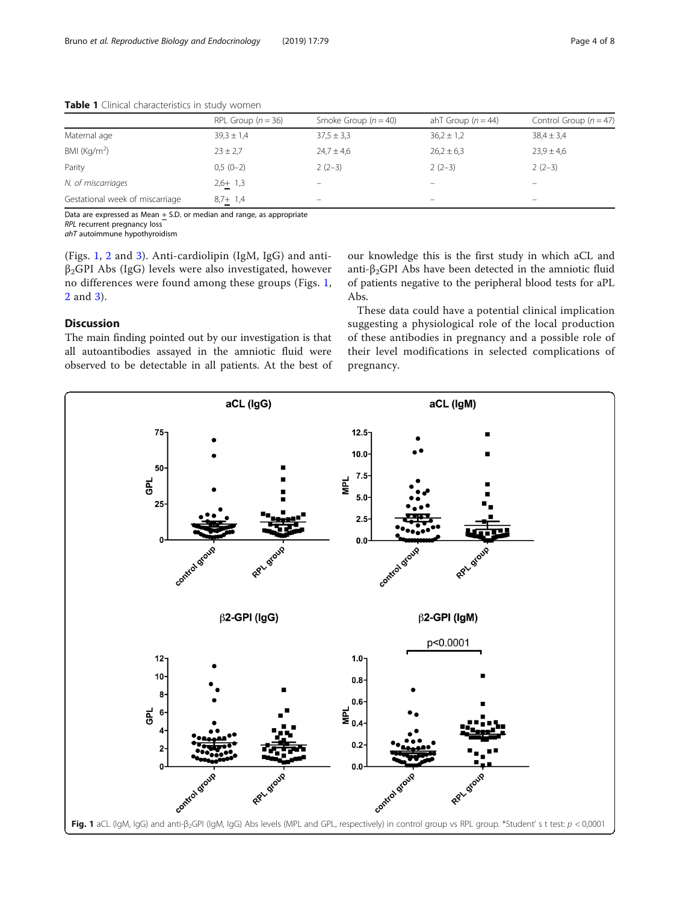|                                 | RPL Group $(n = 36)$ | Smoke Group $(n = 40)$  | ahT Group $(n = 44)$ | Control Group ( $n = 47$ ) |
|---------------------------------|----------------------|-------------------------|----------------------|----------------------------|
| Maternal age                    | $39.3 \pm 1.4$       | $37.5 \pm 3.3$          | $36,2 \pm 1,2$       | $38.4 \pm 3.4$             |
| BMI ( $\text{Kg/m}^2$ )         | $23 \pm 2.7$         | $24.7 \pm 4.6$          | $26,2 \pm 6,3$       | $23.9 \pm 4.6$             |
| Parity                          | $0,5(0-2)$           | $2(2-3)$                | $2(2-3)$             | $2(2-3)$                   |
| N. of miscarriages              | $2,6+1,3$            | -                       | -                    | $\overline{\phantom{0}}$   |
| Gestational week of miscarriage | $8,7+1,4$            | $\qquad \qquad \  \, -$ | –                    | $\overline{\phantom{0}}$   |

<span id="page-3-0"></span>Table 1 Clinical characteristics in study women

Data are expressed as Mean  $+$  S.D. or median and range, as appropriate

RPL recurrent pregnancy loss

ahT autoimmune hypothyroidism

(Figs. 1, [2](#page-4-0) and [3](#page-5-0)). Anti-cardiolipin (IgM, IgG) and anti $β<sub>2</sub>GPI$  Abs (IgG) levels were also investigated, however no differences were found among these groups (Figs. 1, [2](#page-4-0) and [3](#page-5-0)).

# Discussion

The main finding pointed out by our investigation is that all autoantibodies assayed in the amniotic fluid were observed to be detectable in all patients. At the best of our knowledge this is the first study in which aCL and anti- $\beta_2$ GPI Abs have been detected in the amniotic fluid of patients negative to the peripheral blood tests for aPL Abs.

These data could have a potential clinical implication suggesting a physiological role of the local production of these antibodies in pregnancy and a possible role of their level modifications in selected complications of pregnancy.

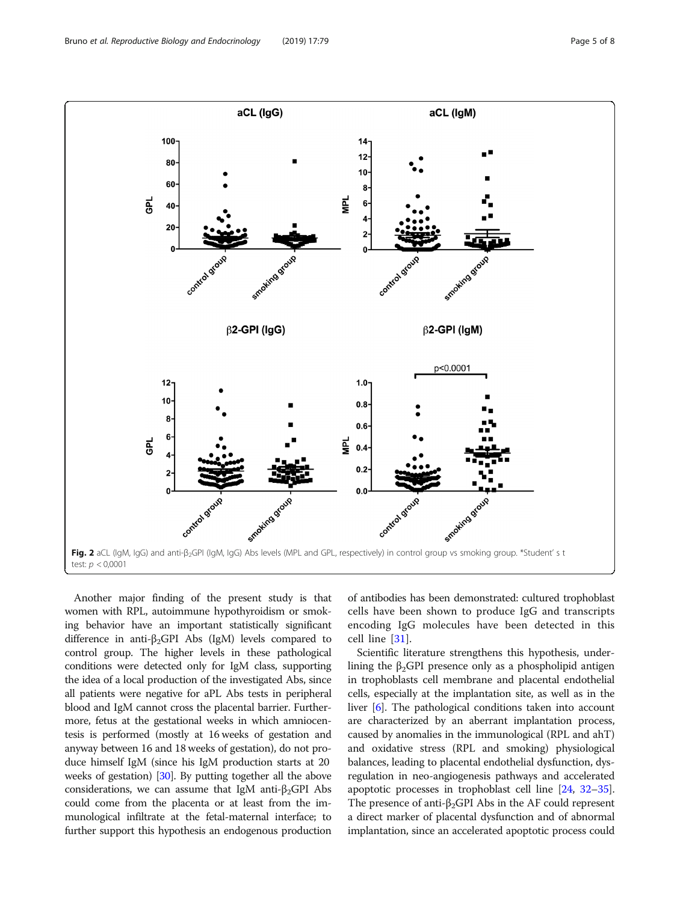<span id="page-4-0"></span>

Another major finding of the present study is that women with RPL, autoimmune hypothyroidism or smoking behavior have an important statistically significant difference in anti- $\beta_2$ GPI Abs (IgM) levels compared to control group. The higher levels in these pathological conditions were detected only for IgM class, supporting the idea of a local production of the investigated Abs, since all patients were negative for aPL Abs tests in peripheral blood and IgM cannot cross the placental barrier. Furthermore, fetus at the gestational weeks in which amniocentesis is performed (mostly at 16 weeks of gestation and anyway between 16 and 18 weeks of gestation), do not produce himself IgM (since his IgM production starts at 20 weeks of gestation) [[30](#page-6-0)]. By putting together all the above considerations, we can assume that IgM anti- $\beta_2$ GPI Abs could come from the placenta or at least from the immunological infiltrate at the fetal-maternal interface; to further support this hypothesis an endogenous production

of antibodies has been demonstrated: cultured trophoblast cells have been shown to produce IgG and transcripts encoding IgG molecules have been detected in this cell line [\[31](#page-6-0)].

Scientific literature strengthens this hypothesis, underlining the β<sub>2</sub>GPI presence only as a phospholipid antigen in trophoblasts cell membrane and placental endothelial cells, especially at the implantation site, as well as in the liver [\[6\]](#page-6-0). The pathological conditions taken into account are characterized by an aberrant implantation process, caused by anomalies in the immunological (RPL and ahT) and oxidative stress (RPL and smoking) physiological balances, leading to placental endothelial dysfunction, dysregulation in neo-angiogenesis pathways and accelerated apoptotic processes in trophoblast cell line [\[24,](#page-6-0) [32](#page-7-0)–[35](#page-7-0)]. The presence of anti- $\beta_2$ GPI Abs in the AF could represent a direct marker of placental dysfunction and of abnormal implantation, since an accelerated apoptotic process could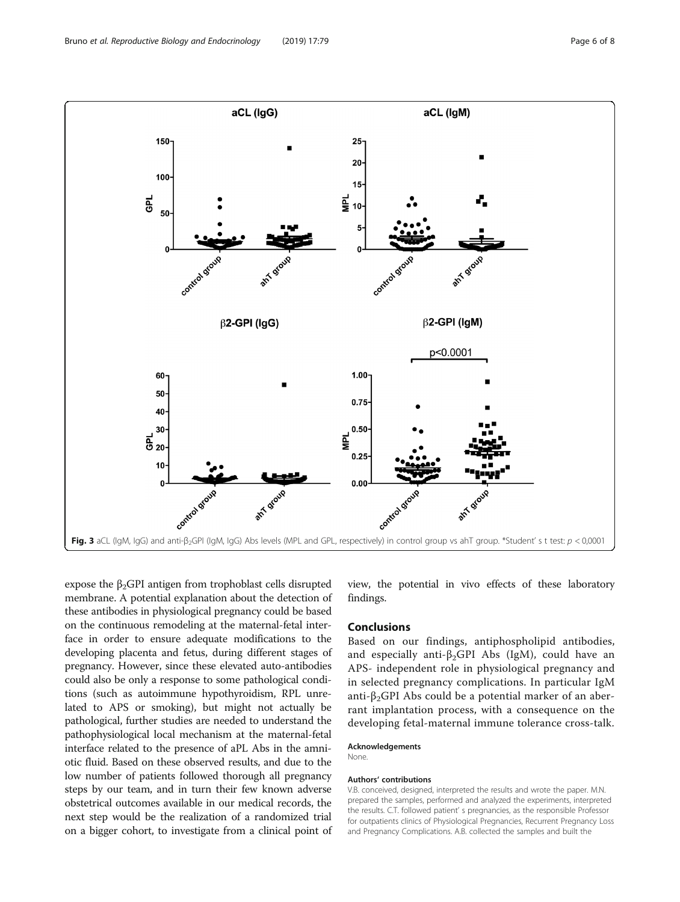<span id="page-5-0"></span>

expose the  $\beta_2$ GPI antigen from trophoblast cells disrupted membrane. A potential explanation about the detection of these antibodies in physiological pregnancy could be based on the continuous remodeling at the maternal-fetal interface in order to ensure adequate modifications to the developing placenta and fetus, during different stages of pregnancy. However, since these elevated auto-antibodies could also be only a response to some pathological conditions (such as autoimmune hypothyroidism, RPL unrelated to APS or smoking), but might not actually be pathological, further studies are needed to understand the pathophysiological local mechanism at the maternal-fetal interface related to the presence of aPL Abs in the amniotic fluid. Based on these observed results, and due to the low number of patients followed thorough all pregnancy steps by our team, and in turn their few known adverse obstetrical outcomes available in our medical records, the next step would be the realization of a randomized trial on a bigger cohort, to investigate from a clinical point of view, the potential in vivo effects of these laboratory findings.

# Conclusions

Based on our findings, antiphospholipid antibodies, and especially anti- $\beta_2$ GPI Abs (IgM), could have an APS- independent role in physiological pregnancy and in selected pregnancy complications. In particular IgM anti- $\beta_2$ GPI Abs could be a potential marker of an aberrant implantation process, with a consequence on the developing fetal-maternal immune tolerance cross-talk.

#### Acknowledgements

**None** 

#### Authors' contributions

V.B. conceived, designed, interpreted the results and wrote the paper. M.N. prepared the samples, performed and analyzed the experiments, interpreted the results. C.T. followed patient' s pregnancies, as the responsible Professor for outpatients clinics of Physiological Pregnancies, Recurrent Pregnancy Loss and Pregnancy Complications. A.B. collected the samples and built the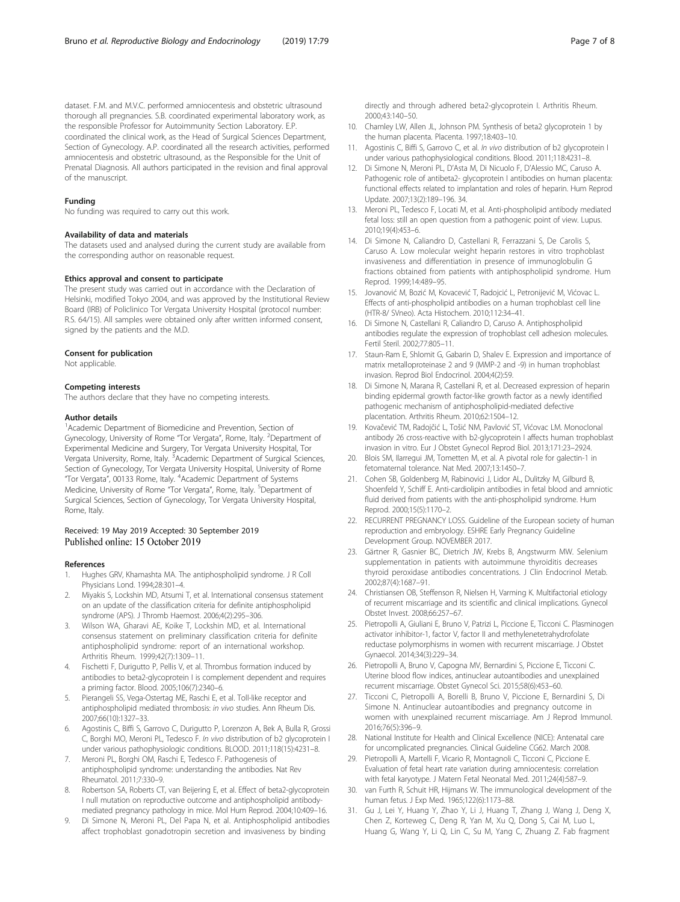<span id="page-6-0"></span>dataset. F.M. and M.V.C. performed amniocentesis and obstetric ultrasound thorough all pregnancies. S.B. coordinated experimental laboratory work, as the responsible Professor for Autoimmunity Section Laboratory. E.P. coordinated the clinical work, as the Head of Surgical Sciences Department, Section of Gynecology. A.P. coordinated all the research activities, performed amniocentesis and obstetric ultrasound, as the Responsible for the Unit of Prenatal Diagnosis. All authors participated in the revision and final approval of the manuscript.

#### Funding

No funding was required to carry out this work.

#### Availability of data and materials

The datasets used and analysed during the current study are available from the corresponding author on reasonable request.

#### Ethics approval and consent to participate

The present study was carried out in accordance with the Declaration of Helsinki, modified Tokyo 2004, and was approved by the Institutional Review Board (IRB) of Policlinico Tor Vergata University Hospital (protocol number: R.S. 64/15). All samples were obtained only after written informed consent, signed by the patients and the M.D.

#### Consent for publication

Not applicable.

#### Competing interests

The authors declare that they have no competing interests.

#### Author details

<sup>1</sup> Academic Department of Biomedicine and Prevention, Section of Gynecology, University of Rome "Tor Vergata", Rome, Italy. <sup>2</sup>Department of Experimental Medicine and Surgery, Tor Vergata University Hospital, Tor Vergata University, Rome, Italy. <sup>3</sup>Academic Department of Surgical Sciences, Section of Gynecology, Tor Vergata University Hospital, University of Rome "Tor Vergata", 00133 Rome, Italy. <sup>4</sup> Academic Department of Systems Medicine, University of Rome "Tor Vergata", Rome, Italy. <sup>5</sup>Department of Surgical Sciences, Section of Gynecology, Tor Vergata University Hospital, Rome, Italy.

#### Received: 19 May 2019 Accepted: 30 September 2019 Published online: 15 October 2019

#### References

- 1. Hughes GRV, Khamashta MA. The antiphospholipid syndrome. J R Coll Physicians Lond. 1994;28:301–4.
- 2. Miyakis S, Lockshin MD, Atsumi T, et al. International consensus statement on an update of the classification criteria for definite antiphospholipid syndrome (APS). J Thromb Haemost. 2006;4(2):295–306.
- 3. Wilson WA, Gharavi AE, Koike T, Lockshin MD, et al. International consensus statement on preliminary classification criteria for definite antiphospholipid syndrome: report of an international workshop. Arthritis Rheum. 1999;42(7):1309–11.
- 4. Fischetti F, Durigutto P, Pellis V, et al. Thrombus formation induced by antibodies to beta2-glycoprotein I is complement dependent and requires a priming factor. Blood. 2005;106(7):2340–6.
- Pierangeli SS, Vega-Ostertag ME, Raschi E, et al. Toll-like receptor and antiphospholipid mediated thrombosis: in vivo studies. Ann Rheum Dis. 2007;66(10):1327–33.
- 6. Agostinis C, Biffi S, Garrovo C, Durigutto P, Lorenzon A, Bek A, Bulla R, Grossi C, Borghi MO, Meroni PL, Tedesco F. In vivo distribution of b2 glycoprotein I under various pathophysiologic conditions. BLOOD. 2011;118(15):4231–8.
- 7. Meroni PL, Borghi OM, Raschi E, Tedesco F. Pathogenesis of antiphospholipid syndrome: understanding the antibodies. Nat Rev Rheumatol. 2011;7:330–9.
- Robertson SA, Roberts CT, van Beijering E, et al. Effect of beta2-glycoprotein I null mutation on reproductive outcome and antiphospholipid antibodymediated pregnancy pathology in mice. Mol Hum Reprod. 2004;10:409–16.
- Di Simone N, Meroni PL, Del Papa N, et al. Antiphospholipid antibodies affect trophoblast gonadotropin secretion and invasiveness by binding

directly and through adhered beta2-glycoprotein I. Arthritis Rheum. 2000;43:140–50.

- 10. Chamley LW, Allen JL, Johnson PM. Synthesis of beta2 glycoprotein 1 by the human placenta. Placenta. 1997;18:403–10.
- 11. Agostinis C, Biffi S, Garrovo C, et al. In vivo distribution of b2 glycoprotein I under various pathophysiological conditions. Blood. 2011;118:4231–8.
- 12. Di Simone N, Meroni PL, D'Asta M, Di Nicuolo F, D'Alessio MC, Caruso A. Pathogenic role of antibeta2- glycoprotein I antibodies on human placenta: functional effects related to implantation and roles of heparin. Hum Reprod Update. 2007;13(2):189–196. 34.
- 13. Meroni PL, Tedesco F, Locati M, et al. Anti-phospholipid antibody mediated fetal loss: still an open question from a pathogenic point of view. Lupus. 2010;19(4):453–6.
- 14. Di Simone N, Caliandro D, Castellani R, Ferrazzani S, De Carolis S, Caruso A. Low molecular weight heparin restores in vitro trophoblast invasiveness and differentiation in presence of immunoglobulin G fractions obtained from patients with antiphospholipid syndrome. Hum Reprod. 1999;14:489–95.
- 15. Jovanović M, Bozić M, Kovacević T, Radojcić L, Petronijević M, Vićovac L. Effects of anti-phospholipid antibodies on a human trophoblast cell line (HTR-8/ SVneo). Acta Histochem. 2010;112:34–41.
- 16. Di Simone N, Castellani R, Caliandro D, Caruso A. Antiphospholipid antibodies regulate the expression of trophoblast cell adhesion molecules. Fertil Steril. 2002;77:805–11.
- 17. Staun-Ram E, Shlomit G, Gabarin D, Shalev E. Expression and importance of matrix metalloproteinase 2 and 9 (MMP-2 and -9) in human trophoblast invasion. Reprod Biol Endocrinol. 2004;4(2):59.
- 18. Di Simone N, Marana R, Castellani R, et al. Decreased expression of heparin binding epidermal growth factor-like growth factor as a newly identified pathogenic mechanism of antiphospholipid-mediated defective placentation. Arthritis Rheum. 2010;62:1504–12.
- 19. Kovačević TM, Radojčić L, Tošić NM, Pavlović ST, Vićovac LM. Monoclonal antibody 26 cross-reactive with b2-glycoprotein I affects human trophoblast invasion in vitro. Eur J Obstet Gynecol Reprod Biol. 2013;171:23–2924.
- 20. Blois SM, Ilarregui JM, Tometten M, et al. A pivotal role for galectin-1 in fetomaternal tolerance. Nat Med. 2007;13:1450–7.
- 21. Cohen SB, Goldenberg M, Rabinovici J, Lidor AL, Dulitzky M, Gilburd B, Shoenfeld Y, Schiff E. Anti-cardiolipin antibodies in fetal blood and amniotic fluid derived from patients with the anti-phospholipid syndrome. Hum Reprod. 2000;15(5):1170–2.
- 22. RECURRENT PREGNANCY LOSS. Guideline of the European society of human reproduction and embryology. ESHRE Early Pregnancy Guideline Development Group. NOVEMBER 2017.
- 23. Gärtner R, Gasnier BC, Dietrich JW, Krebs B, Angstwurm MW. Selenium supplementation in patients with autoimmune thyroiditis decreases thyroid peroxidase antibodies concentrations. J Clin Endocrinol Metab. 2002;87(4):1687–91.
- 24. Christiansen OB, Steffenson R, Nielsen H, Varming K. Multifactorial etiology of recurrent miscarriage and its scientific and clinical implications. Gynecol Obstet Invest. 2008;66:257–67.
- 25. Pietropolli A, Giuliani E, Bruno V, Patrizi L, Piccione E, Ticconi C. Plasminogen activator inhibitor-1, factor V, factor II and methylenetetrahydrofolate reductase polymorphisms in women with recurrent miscarriage. J Obstet Gynaecol. 2014;34(3):229–34.
- 26. Pietropolli A, Bruno V, Capogna MV, Bernardini S, Piccione E, Ticconi C. Uterine blood flow indices, antinuclear autoantibodies and unexplained recurrent miscarriage. Obstet Gynecol Sci. 2015;58(6):453–60.
- 27. Ticconi C, Pietropolli A, Borelli B, Bruno V, Piccione E, Bernardini S, Di Simone N. Antinuclear autoantibodies and pregnancy outcome in women with unexplained recurrent miscarriage. Am J Reprod Immunol. 2016;76(5):396–9.
- 28. National Institute for Health and Clinical Excellence (NICE): Antenatal care for uncomplicated pregnancies. Clinical Guideline CG62. March 2008.
- 29. Pietropolli A, Martelli F, Vicario R, Montagnoli C, Ticconi C, Piccione E. Evaluation of fetal heart rate variation during amniocentesis: correlation with fetal karyotype. J Matern Fetal Neonatal Med. 2011;24(4):587–9.
- 30. van Furth R, Schuit HR, Hijmans W. The immunological development of the human fetus. J Exp Med. 1965;122(6):1173–88.
- 31. Gu J, Lei Y, Huang Y, Zhao Y, Li J, Huang T, Zhang J, Wang J, Deng X, Chen Z, Korteweg C, Deng R, Yan M, Xu Q, Dong S, Cai M, Luo L, Huang G, Wang Y, Li Q, Lin C, Su M, Yang C, Zhuang Z. Fab fragment